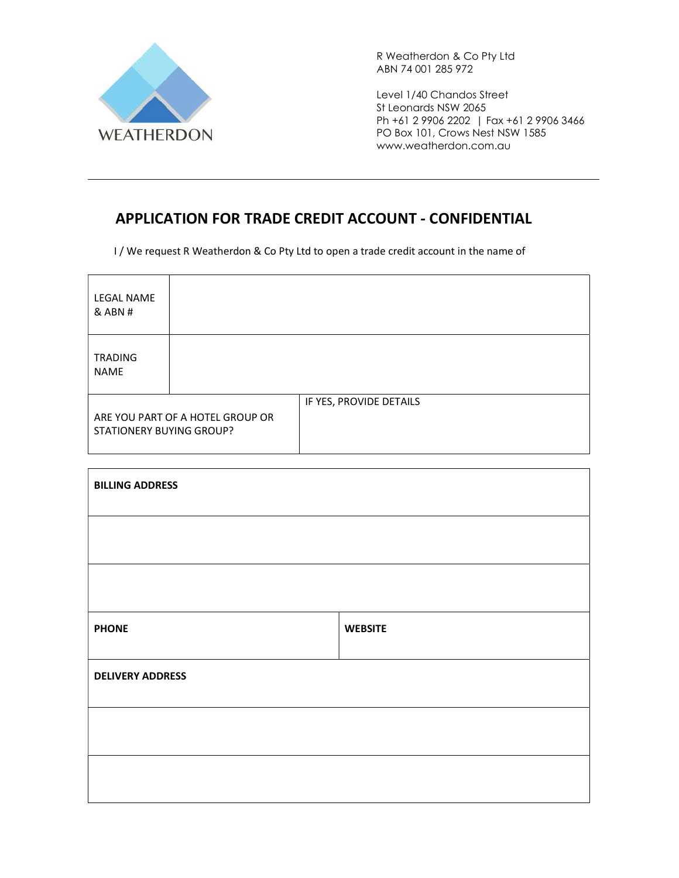

Level 1/40 Chandos Street St Leonards NSW 2065 Ph +61 2 9906 2202 | Fax +61 2 9906 3466 PO Box 101, Crows Nest NSW 1585 www.weatherdon.com.au

### APPLICATION FOR TRADE CREDIT ACCOUNT - CONFIDENTIAL

I / We request R Weatherdon & Co Pty Ltd to open a trade credit account in the name of

| <b>LEGAL NAME</b><br>$&$ ABN #                               |  |                         |
|--------------------------------------------------------------|--|-------------------------|
| <b>TRADING</b><br><b>NAME</b>                                |  |                         |
| ARE YOU PART OF A HOTEL GROUP OR<br>STATIONERY BUYING GROUP? |  | IF YES, PROVIDE DETAILS |

| <b>BILLING ADDRESS</b>  |                |
|-------------------------|----------------|
|                         |                |
|                         |                |
|                         |                |
| <b>PHONE</b>            | <b>WEBSITE</b> |
| <b>DELIVERY ADDRESS</b> |                |
|                         |                |
|                         |                |
|                         |                |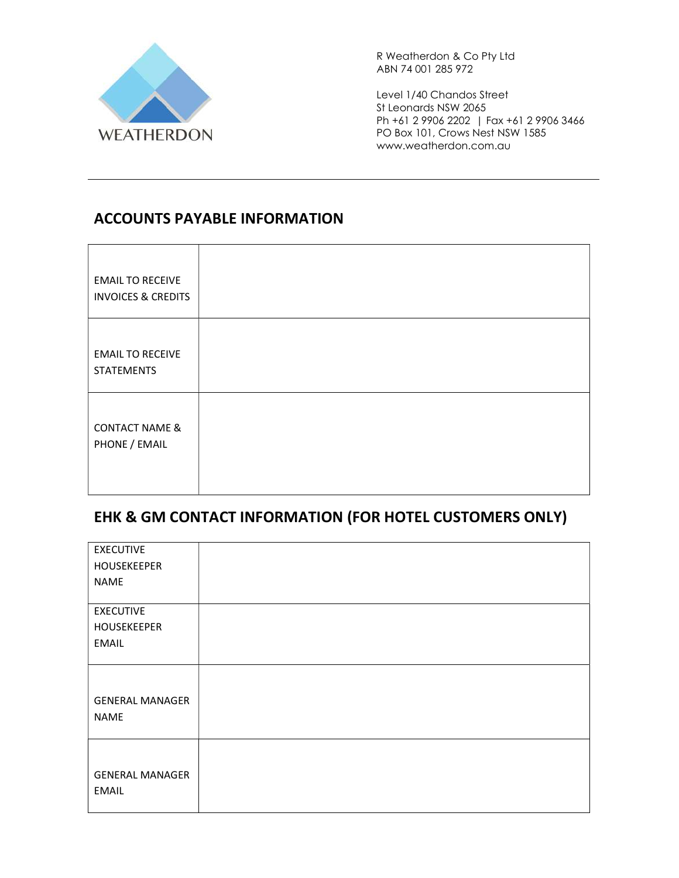

Level 1/40 Chandos Street St Leonards NSW 2065 Ph +61 2 9906 2202 | Fax +61 2 9906 3466 PO Box 101, Crows Nest NSW 1585 www.weatherdon.com.au

### ACCOUNTS PAYABLE INFORMATION

| <b>EMAIL TO RECEIVE</b><br><b>INVOICES &amp; CREDITS</b> |  |
|----------------------------------------------------------|--|
| <b>EMAIL TO RECEIVE</b><br><b>STATEMENTS</b>             |  |
| <b>CONTACT NAME &amp;</b><br>PHONE / EMAIL               |  |

### EHK & GM CONTACT INFORMATION (FOR HOTEL CUSTOMERS ONLY)

| <b>EXECUTIVE</b>       |  |
|------------------------|--|
| <b>HOUSEKEEPER</b>     |  |
| NAME                   |  |
|                        |  |
| <b>EXECUTIVE</b>       |  |
| HOUSEKEEPER            |  |
| <b>EMAIL</b>           |  |
|                        |  |
|                        |  |
|                        |  |
| <b>GENERAL MANAGER</b> |  |
| <b>NAME</b>            |  |
|                        |  |
|                        |  |
|                        |  |
| <b>GENERAL MANAGER</b> |  |
| <b>EMAIL</b>           |  |
|                        |  |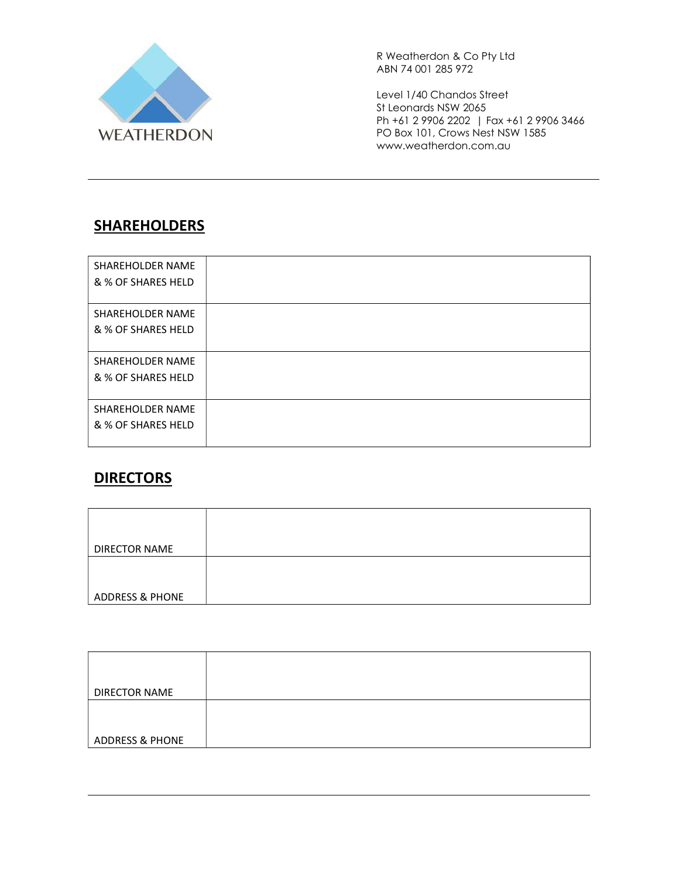

Level 1/40 Chandos Street St Leonards NSW 2065 Ph +61 2 9906 2202 | Fax +61 2 9906 3466 PO Box 101, Crows Nest NSW 1585 www.weatherdon.com.au

# SHAREHOLDERS

| SHAREHOLDER NAME<br>& % OF SHARES HELD        |  |
|-----------------------------------------------|--|
| SHAREHOLDER NAME<br>& % OF SHARES HELD        |  |
| SHAREHOLDER NAME<br>& % OF SHARES HELD        |  |
| <b>SHAREHOLDER NAME</b><br>& % OF SHARES HELD |  |

### **DIRECTORS**

| DIRECTOR NAME              |  |
|----------------------------|--|
|                            |  |
|                            |  |
| <b>ADDRESS &amp; PHONE</b> |  |

| <b>DIRECTOR NAME</b>       |  |
|----------------------------|--|
|                            |  |
|                            |  |
|                            |  |
|                            |  |
|                            |  |
|                            |  |
|                            |  |
| <b>ADDRESS &amp; PHONE</b> |  |
|                            |  |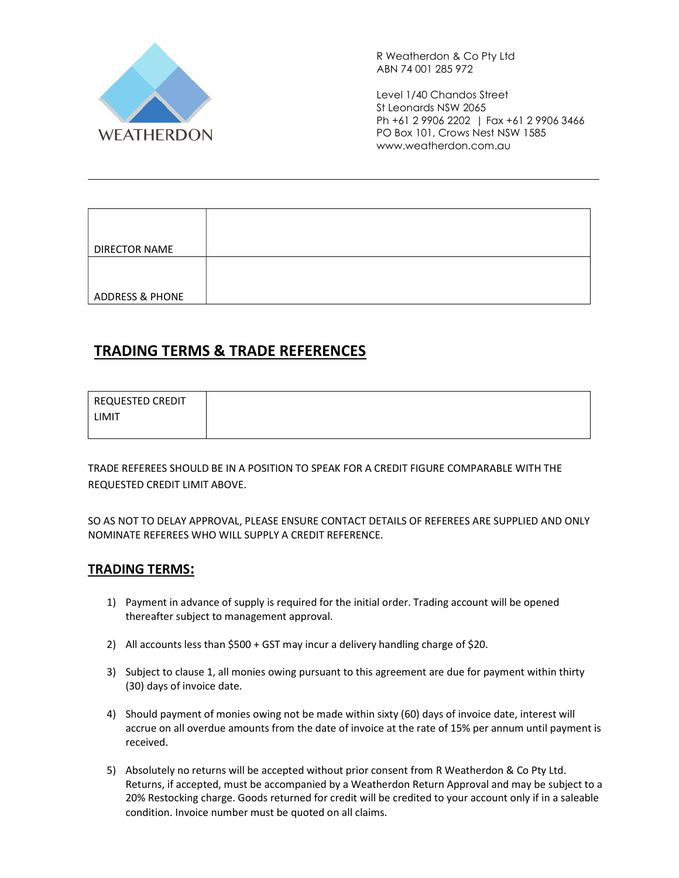

Level 1/40 Chandos Street St Leonards NSW 2065 Ph +61 2 9906 2202 | Fax +61 2 9906 3466 PO Box 101, Crows Nest NSW 1585 www.weatherdon.com.au

| <b>DIRECTOR NAME</b>       |  |
|----------------------------|--|
|                            |  |
|                            |  |
| <b>ADDRESS &amp; PHONE</b> |  |

### TRADING TERMS & TRADE REFERENCES

| REQUESTED CREDIT |  |
|------------------|--|
| LIMIT            |  |
|                  |  |

TRADE REFEREES SHOULD BE IN A POSITION TO SPEAK FOR A CREDIT FIGURE COMPARABLE WITH THE REQUESTED CREDIT LIMIT ABOVE.

SO AS NOT TO DELAY APPROVAL, PLEASE ENSURE CONTACT DETAILS OF REFEREES ARE SUPPLIED AND ONLY NOMINATE REFEREES WHO WILL SUPPLY A CREDIT REFERENCE.

#### TRADING TERMS:

- 1) Payment in advance of supply is required for the initial order. Trading account will be opened thereafter subject to management approval.
- 2) All accounts less than \$500 + GST may incur a delivery handling charge of \$20.
- 3) Subject to clause 1, all monies owing pursuant to this agreement are due for payment within thirty (30) days of invoice date.
- 4) Should payment of monies owing not be made within sixty (60) days of invoice date, interest will accrue on all overdue amounts from the date of invoice at the rate of 15% per annum until payment is received.
- 5) Absolutely no returns will be accepted without prior consent from R Weatherdon & Co Pty Ltd. Returns, if accepted, must be accompanied by a Weatherdon Return Approval and may be subject to a 20% Restocking charge. Goods returned for credit will be credited to your account only if in a saleable condition. Invoice number must be quoted on all claims.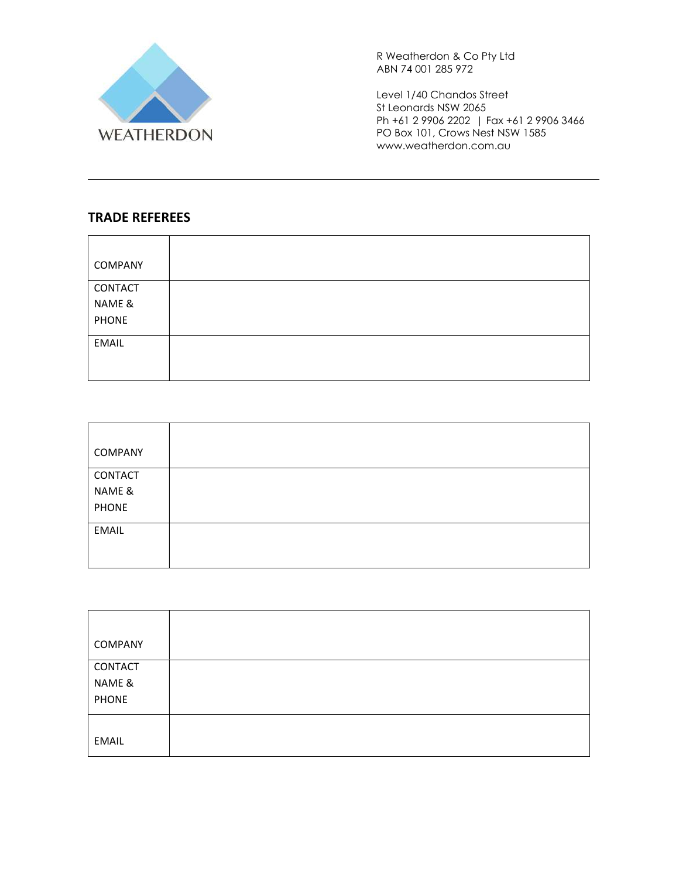

Level 1/40 Chandos Street St Leonards NSW 2065 Ph +61 2 9906 2202 | Fax +61 2 9906 3466 PO Box 101, Crows Nest NSW 1585 www.weatherdon.com.au

#### TRADE REFEREES

| COMPANY      |  |
|--------------|--|
| CONTACT      |  |
| NAME &       |  |
| <b>PHONE</b> |  |
| <b>EMAIL</b> |  |
|              |  |
|              |  |

| COMPANY      |  |
|--------------|--|
| CONTACT      |  |
| NAME &       |  |
| <b>PHONE</b> |  |
| <b>EMAIL</b> |  |
|              |  |
|              |  |

| <b>COMPANY</b> |  |
|----------------|--|
| CONTACT        |  |
| NAME &         |  |
| <b>PHONE</b>   |  |
|                |  |
| <b>EMAIL</b>   |  |